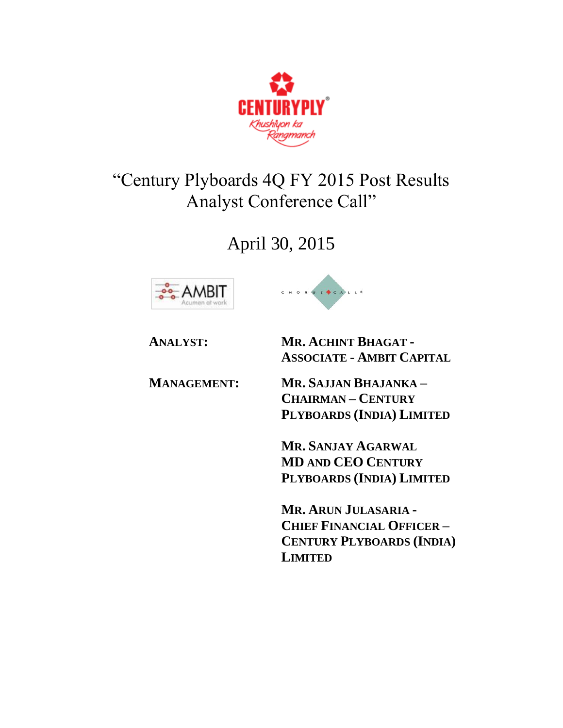

# "Century Plyboards 4Q FY 2015 Post Results Analyst Conference Call"

April 30, 2015







**ANALYST: MR. ACHINT BHAGAT - ASSOCIATE - AMBIT CAPITAL**

**MANAGEMENT: MR. SAJJAN BHAJANKA – CHAIRMAN – CENTURY PLYBOARDS (INDIA) LIMITED**

> **MR. SANJAY AGARWAL MD AND CEO CENTURY PLYBOARDS (INDIA) LIMITED**

**MR. ARUN JULASARIA - CHIEF FINANCIAL OFFICER – CENTURY PLYBOARDS (INDIA) LIMITED**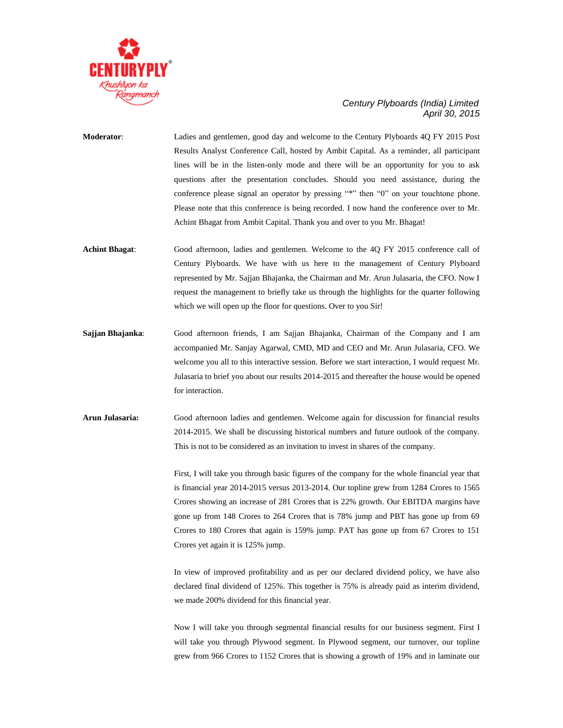

- **Moderator**: Ladies and gentlemen, good day and welcome to the Century Plyboards 4Q FY 2015 Post Results Analyst Conference Call, hosted by Ambit Capital. As a reminder, all participant lines will be in the listen-only mode and there will be an opportunity for you to ask questions after the presentation concludes. Should you need assistance, during the conference please signal an operator by pressing "\*" then "0" on your touchtone phone. Please note that this conference is being recorded. I now hand the conference over to Mr. Achint Bhagat from Ambit Capital. Thank you and over to you Mr. Bhagat!
- **Achint Bhagat**: Good afternoon, ladies and gentlemen. Welcome to the 4Q FY 2015 conference call of Century Plyboards. We have with us here to the management of Century Plyboard represented by Mr. Sajjan Bhajanka, the Chairman and Mr. Arun Julasaria, the CFO. Now I request the management to briefly take us through the highlights for the quarter following which we will open up the floor for questions. Over to you Sir!
- **Sajjan Bhajanka**: Good afternoon friends, I am Sajjan Bhajanka, Chairman of the Company and I am accompanied Mr. Sanjay Agarwal, CMD, MD and CEO and Mr. Arun Julasaria, CFO. We welcome you all to this interactive session. Before we start interaction, I would request Mr. Julasaria to brief you about our results 2014-2015 and thereafter the house would be opened for interaction.
- **Arun Julasaria:** Good afternoon ladies and gentlemen. Welcome again for discussion for financial results 2014-2015. We shall be discussing historical numbers and future outlook of the company. This is not to be considered as an invitation to invest in shares of the company.

First, I will take you through basic figures of the company for the whole financial year that is financial year 2014-2015 versus 2013-2014. Our topline grew from 1284 Crores to 1565 Crores showing an increase of 281 Crores that is 22% growth. Our EBITDA margins have gone up from 148 Crores to 264 Crores that is 78% jump and PBT has gone up from 69 Crores to 180 Crores that again is 159% jump. PAT has gone up from 67 Crores to 151 Crores yet again it is 125% jump.

In view of improved profitability and as per our declared dividend policy, we have also declared final dividend of 125%. This together is 75% is already paid as interim dividend, we made 200% dividend for this financial year.

Now I will take you through segmental financial results for our business segment. First I will take you through Plywood segment. In Plywood segment, our turnover, our topline grew from 966 Crores to 1152 Crores that is showing a growth of 19% and in laminate our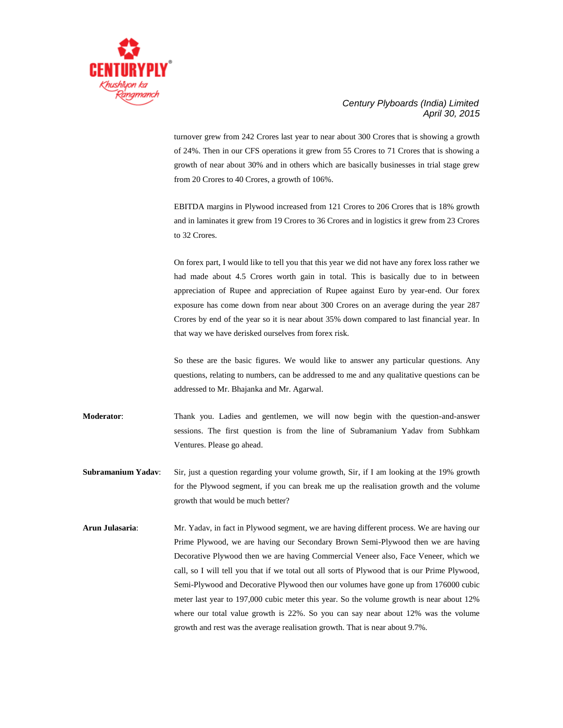

turnover grew from 242 Crores last year to near about 300 Crores that is showing a growth of 24%. Then in our CFS operations it grew from 55 Crores to 71 Crores that is showing a growth of near about 30% and in others which are basically businesses in trial stage grew from 20 Crores to 40 Crores, a growth of 106%.

EBITDA margins in Plywood increased from 121 Crores to 206 Crores that is 18% growth and in laminates it grew from 19 Crores to 36 Crores and in logistics it grew from 23 Crores to 32 Crores.

On forex part, I would like to tell you that this year we did not have any forex loss rather we had made about 4.5 Crores worth gain in total. This is basically due to in between appreciation of Rupee and appreciation of Rupee against Euro by year-end. Our forex exposure has come down from near about 300 Crores on an average during the year 287 Crores by end of the year so it is near about 35% down compared to last financial year. In that way we have derisked ourselves from forex risk.

So these are the basic figures. We would like to answer any particular questions. Any questions, relating to numbers, can be addressed to me and any qualitative questions can be addressed to Mr. Bhajanka and Mr. Agarwal.

**Moderator**: Thank you. Ladies and gentlemen, we will now begin with the question-and-answer sessions. The first question is from the line of Subramanium Yadav from Subhkam Ventures. Please go ahead.

- **Subramanium Yadav**: Sir, just a question regarding your volume growth, Sir, if I am looking at the 19% growth for the Plywood segment, if you can break me up the realisation growth and the volume growth that would be much better?
- **Arun Julasaria**: Mr. Yadav, in fact in Plywood segment, we are having different process. We are having our Prime Plywood, we are having our Secondary Brown Semi-Plywood then we are having Decorative Plywood then we are having Commercial Veneer also, Face Veneer, which we call, so I will tell you that if we total out all sorts of Plywood that is our Prime Plywood, Semi-Plywood and Decorative Plywood then our volumes have gone up from 176000 cubic meter last year to 197,000 cubic meter this year. So the volume growth is near about 12% where our total value growth is 22%. So you can say near about 12% was the volume growth and rest was the average realisation growth. That is near about 9.7%.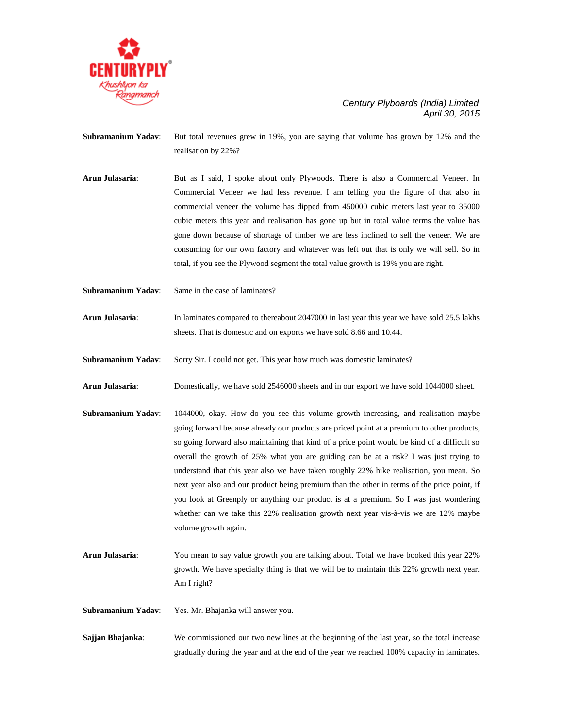

**Subramanium Yadav**: But total revenues grew in 19%, you are saying that volume has grown by 12% and the realisation by 22%?

**Arun Julasaria**: But as I said, I spoke about only Plywoods. There is also a Commercial Veneer. In Commercial Veneer we had less revenue. I am telling you the figure of that also in commercial veneer the volume has dipped from 450000 cubic meters last year to 35000 cubic meters this year and realisation has gone up but in total value terms the value has gone down because of shortage of timber we are less inclined to sell the veneer. We are consuming for our own factory and whatever was left out that is only we will sell. So in total, if you see the Plywood segment the total value growth is 19% you are right.

**Subramanium Yadav**: Same in the case of laminates?

**Arun Julasaria**: In laminates compared to thereabout 2047000 in last year this year we have sold 25.5 lakhs sheets. That is domestic and on exports we have sold 8.66 and 10.44.

**Subramanium Yadav**: Sorry Sir. I could not get. This year how much was domestic laminates?

**Arun Julasaria**: Domestically, we have sold 2546000 sheets and in our export we have sold 1044000 sheet.

- **Subramanium Yadav**: 1044000, okay. How do you see this volume growth increasing, and realisation maybe going forward because already our products are priced point at a premium to other products, so going forward also maintaining that kind of a price point would be kind of a difficult so overall the growth of 25% what you are guiding can be at a risk? I was just trying to understand that this year also we have taken roughly 22% hike realisation, you mean. So next year also and our product being premium than the other in terms of the price point, if you look at Greenply or anything our product is at a premium. So I was just wondering whether can we take this 22% realisation growth next year vis-à-vis we are 12% maybe volume growth again.
- **Arun Julasaria**: You mean to say value growth you are talking about. Total we have booked this year 22% growth. We have specialty thing is that we will be to maintain this 22% growth next year. Am I right?

**Subramanium Yadav**: Yes. Mr. Bhajanka will answer you.

**Sajjan Bhajanka:** We commissioned our two new lines at the beginning of the last year, so the total increase gradually during the year and at the end of the year we reached 100% capacity in laminates.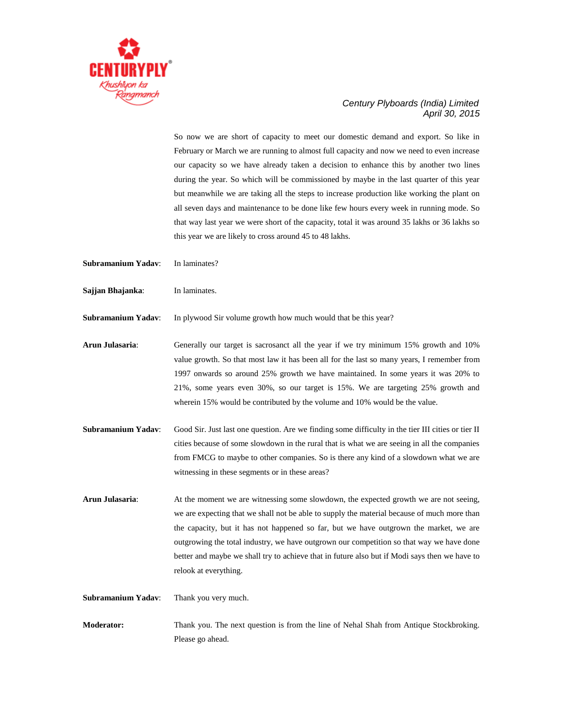

So now we are short of capacity to meet our domestic demand and export. So like in February or March we are running to almost full capacity and now we need to even increase our capacity so we have already taken a decision to enhance this by another two lines during the year. So which will be commissioned by maybe in the last quarter of this year but meanwhile we are taking all the steps to increase production like working the plant on all seven days and maintenance to be done like few hours every week in running mode. So that way last year we were short of the capacity, total it was around 35 lakhs or 36 lakhs so this year we are likely to cross around 45 to 48 lakhs.

- **Subramanium Yadav**: In laminates?
- **Sajjan Bhajanka**: In laminates.

**Subramanium Yadav**: In plywood Sir volume growth how much would that be this year?

**Arun Julasaria**: Generally our target is sacrosanct all the year if we try minimum 15% growth and 10% value growth. So that most law it has been all for the last so many years, I remember from 1997 onwards so around 25% growth we have maintained. In some years it was 20% to 21%, some years even 30%, so our target is 15%. We are targeting 25% growth and wherein 15% would be contributed by the volume and 10% would be the value.

**Subramanium Yadav**: Good Sir. Just last one question. Are we finding some difficulty in the tier III cities or tier II cities because of some slowdown in the rural that is what we are seeing in all the companies from FMCG to maybe to other companies. So is there any kind of a slowdown what we are witnessing in these segments or in these areas?

**Arun Julasaria**: At the moment we are witnessing some slowdown, the expected growth we are not seeing, we are expecting that we shall not be able to supply the material because of much more than the capacity, but it has not happened so far, but we have outgrown the market, we are outgrowing the total industry, we have outgrown our competition so that way we have done better and maybe we shall try to achieve that in future also but if Modi says then we have to relook at everything.

**Subramanium Yadav**: Thank you very much.

**Moderator:** Thank you. The next question is from the line of Nehal Shah from Antique Stockbroking. Please go ahead.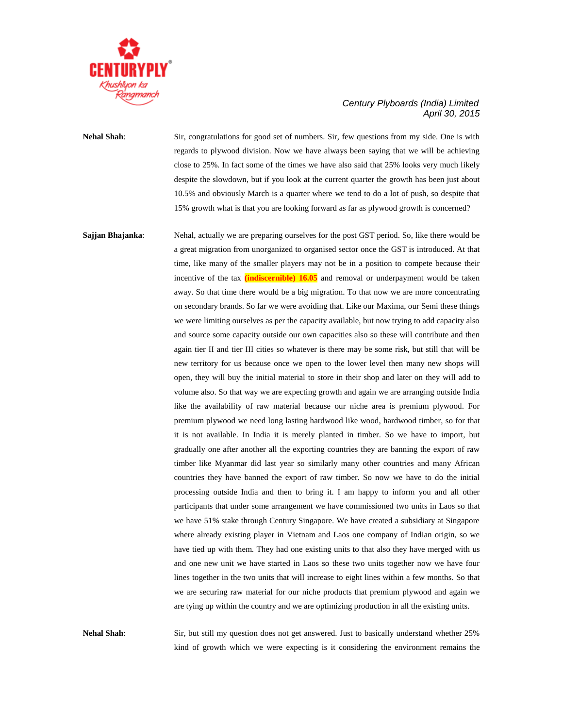

# **Nehal Shah**: Sir, congratulations for good set of numbers. Sir, few questions from my side. One is with regards to plywood division. Now we have always been saying that we will be achieving close to 25%. In fact some of the times we have also said that 25% looks very much likely despite the slowdown, but if you look at the current quarter the growth has been just about 10.5% and obviously March is a quarter where we tend to do a lot of push, so despite that 15% growth what is that you are looking forward as far as plywood growth is concerned?

**Sajjan Bhajanka:** Nehal, actually we are preparing ourselves for the post GST period. So, like there would be a great migration from unorganized to organised sector once the GST is introduced. At that time, like many of the smaller players may not be in a position to compete because their incentive of the tax **(indiscernible) 16.05** and removal or underpayment would be taken away. So that time there would be a big migration. To that now we are more concentrating on secondary brands. So far we were avoiding that. Like our Maxima, our Semi these things we were limiting ourselves as per the capacity available, but now trying to add capacity also and source some capacity outside our own capacities also so these will contribute and then again tier II and tier III cities so whatever is there may be some risk, but still that will be new territory for us because once we open to the lower level then many new shops will open, they will buy the initial material to store in their shop and later on they will add to volume also. So that way we are expecting growth and again we are arranging outside India like the availability of raw material because our niche area is premium plywood. For premium plywood we need long lasting hardwood like wood, hardwood timber, so for that it is not available. In India it is merely planted in timber. So we have to import, but gradually one after another all the exporting countries they are banning the export of raw timber like Myanmar did last year so similarly many other countries and many African countries they have banned the export of raw timber. So now we have to do the initial processing outside India and then to bring it. I am happy to inform you and all other participants that under some arrangement we have commissioned two units in Laos so that we have 51% stake through Century Singapore. We have created a subsidiary at Singapore where already existing player in Vietnam and Laos one company of Indian origin, so we have tied up with them. They had one existing units to that also they have merged with us and one new unit we have started in Laos so these two units together now we have four lines together in the two units that will increase to eight lines within a few months. So that we are securing raw material for our niche products that premium plywood and again we are tying up within the country and we are optimizing production in all the existing units.

**Nehal Shah**: Sir, but still my question does not get answered. Just to basically understand whether 25% kind of growth which we were expecting is it considering the environment remains the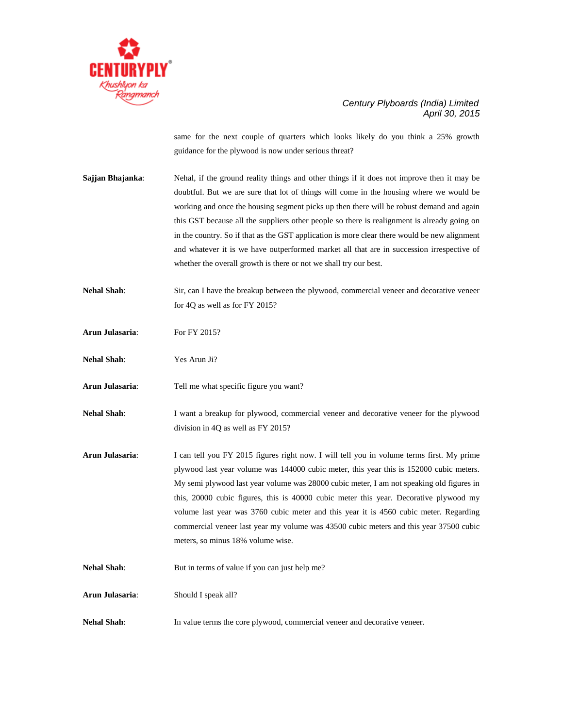

same for the next couple of quarters which looks likely do you think a 25% growth guidance for the plywood is now under serious threat?

- **Sajjan Bhajanka**: Nehal, if the ground reality things and other things if it does not improve then it may be doubtful. But we are sure that lot of things will come in the housing where we would be working and once the housing segment picks up then there will be robust demand and again this GST because all the suppliers other people so there is realignment is already going on in the country. So if that as the GST application is more clear there would be new alignment and whatever it is we have outperformed market all that are in succession irrespective of whether the overall growth is there or not we shall try our best.
- **Nehal Shah**: Sir, can I have the breakup between the plywood, commercial veneer and decorative veneer for 4Q as well as for FY 2015?
- Arun Julasaria: For FY 2015?
- **Nehal Shah**: Yes Arun Ji?
- **Arun Julasaria**: Tell me what specific figure you want?
- Nehal Shah: I want a breakup for plywood, commercial veneer and decorative veneer for the plywood division in 4Q as well as FY 2015?
- **Arun Julasaria**: I can tell you FY 2015 figures right now. I will tell you in volume terms first. My prime plywood last year volume was 144000 cubic meter, this year this is 152000 cubic meters. My semi plywood last year volume was 28000 cubic meter, I am not speaking old figures in this, 20000 cubic figures, this is 40000 cubic meter this year. Decorative plywood my volume last year was 3760 cubic meter and this year it is 4560 cubic meter. Regarding commercial veneer last year my volume was 43500 cubic meters and this year 37500 cubic meters, so minus 18% volume wise.
- **Nehal Shah:** But in terms of value if you can just help me?
- **Arun Julasaria**: Should I speak all?
- **Nehal Shah:** In value terms the core plywood, commercial veneer and decorative veneer.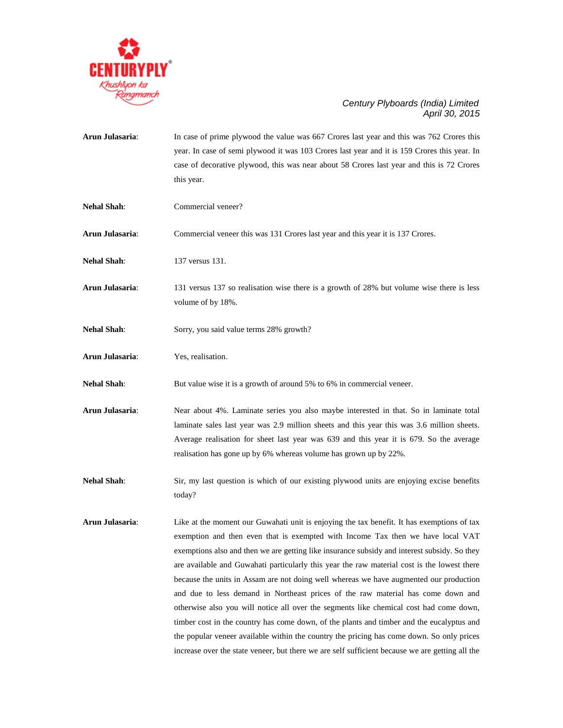

|                    | year. In case of semi plywood it was 103 Crores last year and it is 159 Crores this year. In<br>case of decorative plywood, this was near about 58 Crores last year and this is 72 Crores<br>this year.                                                                                                                                                                                                                                                                                                                                                                                                                                                                                                                                                                                                                                                                                                                                           |
|--------------------|---------------------------------------------------------------------------------------------------------------------------------------------------------------------------------------------------------------------------------------------------------------------------------------------------------------------------------------------------------------------------------------------------------------------------------------------------------------------------------------------------------------------------------------------------------------------------------------------------------------------------------------------------------------------------------------------------------------------------------------------------------------------------------------------------------------------------------------------------------------------------------------------------------------------------------------------------|
| <b>Nehal Shah:</b> | Commercial veneer?                                                                                                                                                                                                                                                                                                                                                                                                                                                                                                                                                                                                                                                                                                                                                                                                                                                                                                                                |
| Arun Julasaria:    | Commercial veneer this was 131 Crores last year and this year it is 137 Crores.                                                                                                                                                                                                                                                                                                                                                                                                                                                                                                                                                                                                                                                                                                                                                                                                                                                                   |
| <b>Nehal Shah:</b> | 137 versus 131.                                                                                                                                                                                                                                                                                                                                                                                                                                                                                                                                                                                                                                                                                                                                                                                                                                                                                                                                   |
| Arun Julasaria:    | 131 versus 137 so realisation wise there is a growth of 28% but volume wise there is less<br>volume of by 18%.                                                                                                                                                                                                                                                                                                                                                                                                                                                                                                                                                                                                                                                                                                                                                                                                                                    |
| <b>Nehal Shah:</b> | Sorry, you said value terms 28% growth?                                                                                                                                                                                                                                                                                                                                                                                                                                                                                                                                                                                                                                                                                                                                                                                                                                                                                                           |
| Arun Julasaria:    | Yes, realisation.                                                                                                                                                                                                                                                                                                                                                                                                                                                                                                                                                                                                                                                                                                                                                                                                                                                                                                                                 |
| <b>Nehal Shah:</b> | But value wise it is a growth of around 5% to 6% in commercial veneer.                                                                                                                                                                                                                                                                                                                                                                                                                                                                                                                                                                                                                                                                                                                                                                                                                                                                            |
| Arun Julasaria:    | Near about 4%. Laminate series you also maybe interested in that. So in laminate total<br>laminate sales last year was 2.9 million sheets and this year this was 3.6 million sheets.<br>Average realisation for sheet last year was 639 and this year it is 679. So the average<br>realisation has gone up by 6% whereas volume has grown up by 22%.                                                                                                                                                                                                                                                                                                                                                                                                                                                                                                                                                                                              |
| <b>Nehal Shah:</b> | Sir, my last question is which of our existing plywood units are enjoying excise benefits<br>today?                                                                                                                                                                                                                                                                                                                                                                                                                                                                                                                                                                                                                                                                                                                                                                                                                                               |
| Arun Julasaria:    | Like at the moment our Guwahati unit is enjoying the tax benefit. It has exemptions of tax<br>exemption and then even that is exempted with Income Tax then we have local VAT<br>exemptions also and then we are getting like insurance subsidy and interest subsidy. So they<br>are available and Guwahati particularly this year the raw material cost is the lowest there<br>because the units in Assam are not doing well whereas we have augmented our production<br>and due to less demand in Northeast prices of the raw material has come down and<br>otherwise also you will notice all over the segments like chemical cost had come down,<br>timber cost in the country has come down, of the plants and timber and the eucalyptus and<br>the popular veneer available within the country the pricing has come down. So only prices<br>increase over the state veneer, but there we are self sufficient because we are getting all the |

**Arun Julasaria**: In case of prime plywood the value was 667 Crores last year and this was 762 Crores this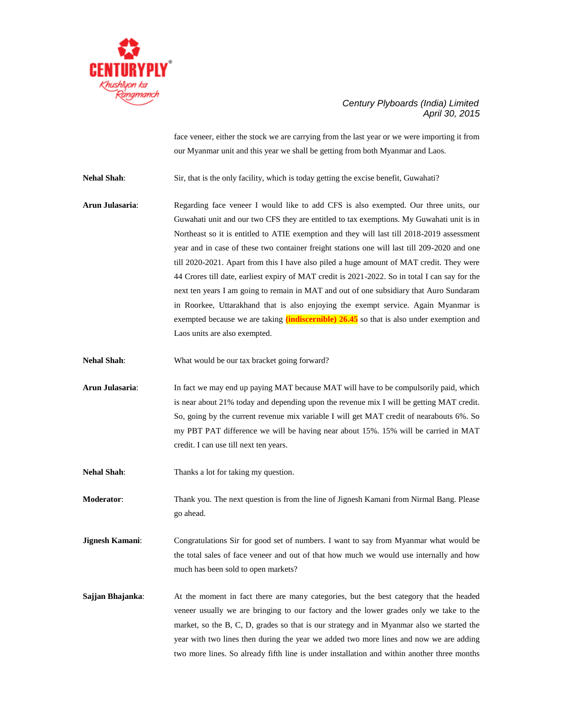

face veneer, either the stock we are carrying from the last year or we were importing it from our Myanmar unit and this year we shall be getting from both Myanmar and Laos.

**Nehal Shah**: Sir, that is the only facility, which is today getting the excise benefit, Guwahati?

**Arun Julasaria**: Regarding face veneer I would like to add CFS is also exempted. Our three units, our Guwahati unit and our two CFS they are entitled to tax exemptions. My Guwahati unit is in Northeast so it is entitled to ATIE exemption and they will last till 2018-2019 assessment year and in case of these two container freight stations one will last till 209-2020 and one till 2020-2021. Apart from this I have also piled a huge amount of MAT credit. They were 44 Crores till date, earliest expiry of MAT credit is 2021-2022. So in total I can say for the next ten years I am going to remain in MAT and out of one subsidiary that Auro Sundaram in Roorkee, Uttarakhand that is also enjoying the exempt service. Again Myanmar is exempted because we are taking **(indiscernible) 26.45** so that is also under exemption and Laos units are also exempted.

**Nehal Shah:** What would be our tax bracket going forward?

- **Arun Julasaria**: In fact we may end up paying MAT because MAT will have to be compulsorily paid, which is near about 21% today and depending upon the revenue mix I will be getting MAT credit. So, going by the current revenue mix variable I will get MAT credit of nearabouts 6%. So my PBT PAT difference we will be having near about 15%. 15% will be carried in MAT credit. I can use till next ten years.
- **Nehal Shah:** Thanks a lot for taking my question.

**Moderator**: Thank you. The next question is from the line of Jignesh Kamani from Nirmal Bang. Please go ahead.

**Jignesh Kamani**: Congratulations Sir for good set of numbers. I want to say from Myanmar what would be the total sales of face veneer and out of that how much we would use internally and how much has been sold to open markets?

**Sajjan Bhajanka:** At the moment in fact there are many categories, but the best category that the headed veneer usually we are bringing to our factory and the lower grades only we take to the market, so the B, C, D, grades so that is our strategy and in Myanmar also we started the year with two lines then during the year we added two more lines and now we are adding two more lines. So already fifth line is under installation and within another three months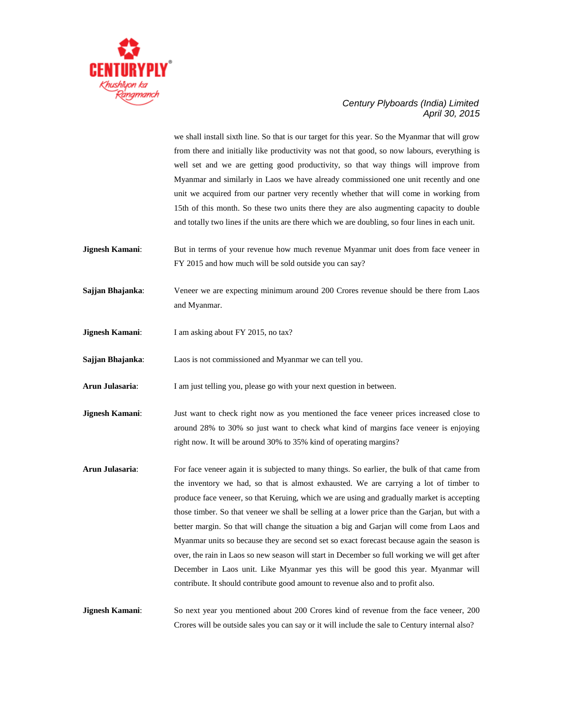

we shall install sixth line. So that is our target for this year. So the Myanmar that will grow from there and initially like productivity was not that good, so now labours, everything is well set and we are getting good productivity, so that way things will improve from Myanmar and similarly in Laos we have already commissioned one unit recently and one unit we acquired from our partner very recently whether that will come in working from 15th of this month. So these two units there they are also augmenting capacity to double and totally two lines if the units are there which we are doubling, so four lines in each unit.

- **Jignesh Kamani:** But in terms of your revenue how much revenue Myanmar unit does from face veneer in FY 2015 and how much will be sold outside you can say?
- **Sajjan Bhajanka:** Veneer we are expecting minimum around 200 Crores revenue should be there from Laos and Myanmar.
- **Jignesh Kamani:** I am asking about FY 2015, no tax?

**Sajjan Bhajanka**: Laos is not commissioned and Myanmar we can tell you.

**Arun Julasaria**: I am just telling you, please go with your next question in between.

- **Jignesh Kamani:** Just want to check right now as you mentioned the face veneer prices increased close to around 28% to 30% so just want to check what kind of margins face veneer is enjoying right now. It will be around 30% to 35% kind of operating margins?
- **Arun Julasaria**: For face veneer again it is subjected to many things. So earlier, the bulk of that came from the inventory we had, so that is almost exhausted. We are carrying a lot of timber to produce face veneer, so that Keruing, which we are using and gradually market is accepting those timber. So that veneer we shall be selling at a lower price than the Garjan, but with a better margin. So that will change the situation a big and Garjan will come from Laos and Myanmar units so because they are second set so exact forecast because again the season is over, the rain in Laos so new season will start in December so full working we will get after December in Laos unit. Like Myanmar yes this will be good this year. Myanmar will contribute. It should contribute good amount to revenue also and to profit also.

**Jignesh Kamani:** So next year you mentioned about 200 Crores kind of revenue from the face veneer, 200 Crores will be outside sales you can say or it will include the sale to Century internal also?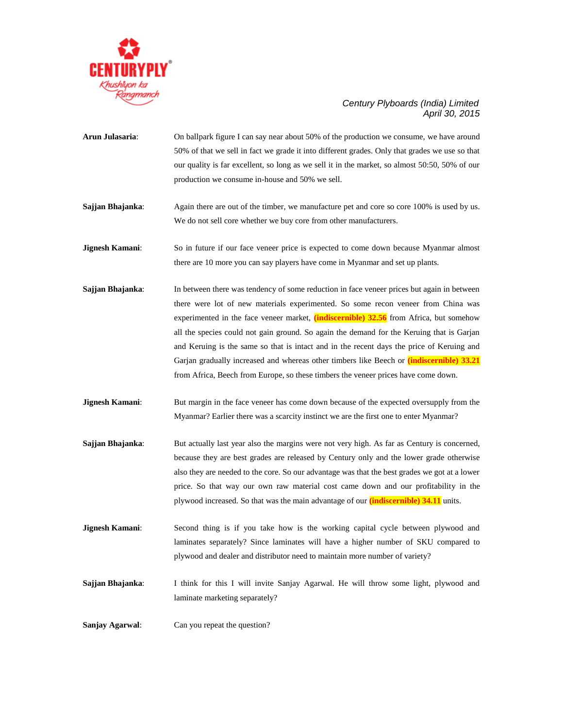

- **Arun Julasaria**: On ballpark figure I can say near about 50% of the production we consume, we have around 50% of that we sell in fact we grade it into different grades. Only that grades we use so that our quality is far excellent, so long as we sell it in the market, so almost 50:50, 50% of our production we consume in-house and 50% we sell.
- **Sajjan Bhajanka**: Again there are out of the timber, we manufacture pet and core so core 100% is used by us. We do not sell core whether we buy core from other manufacturers.
- **Jignesh Kamani**: So in future if our face veneer price is expected to come down because Myanmar almost there are 10 more you can say players have come in Myanmar and set up plants.
- **Sajjan Bhajanka:** In between there was tendency of some reduction in face veneer prices but again in between there were lot of new materials experimented. So some recon veneer from China was experimented in the face veneer market, **(indiscernible) 32.56** from Africa, but somehow all the species could not gain ground. So again the demand for the Keruing that is Garjan and Keruing is the same so that is intact and in the recent days the price of Keruing and Garjan gradually increased and whereas other timbers like Beech or **(indiscernible) 33.21** from Africa, Beech from Europe, so these timbers the veneer prices have come down.
- **Jignesh Kamani:** But margin in the face veneer has come down because of the expected oversupply from the Myanmar? Earlier there was a scarcity instinct we are the first one to enter Myanmar?
- **Sajjan Bhajanka:** But actually last year also the margins were not very high. As far as Century is concerned, because they are best grades are released by Century only and the lower grade otherwise also they are needed to the core. So our advantage was that the best grades we got at a lower price. So that way our own raw material cost came down and our profitability in the plywood increased. So that was the main advantage of our **(indiscernible) 34.11** units.
- **Jignesh Kamani:** Second thing is if you take how is the working capital cycle between plywood and laminates separately? Since laminates will have a higher number of SKU compared to plywood and dealer and distributor need to maintain more number of variety?
- **Sajjan Bhajanka**: I think for this I will invite Sanjay Agarwal. He will throw some light, plywood and laminate marketing separately?

**Sanjay Agarwal**: Can you repeat the question?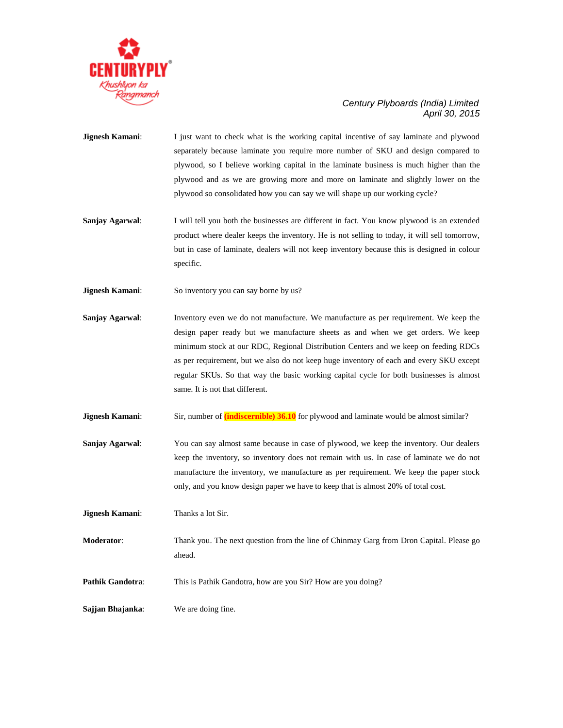

- **Jignesh Kamani:** I just want to check what is the working capital incentive of say laminate and plywood separately because laminate you require more number of SKU and design compared to plywood, so I believe working capital in the laminate business is much higher than the plywood and as we are growing more and more on laminate and slightly lower on the plywood so consolidated how you can say we will shape up our working cycle?
- **Sanjay Agarwal:** I will tell you both the businesses are different in fact. You know plywood is an extended product where dealer keeps the inventory. He is not selling to today, it will sell tomorrow, but in case of laminate, dealers will not keep inventory because this is designed in colour specific.
- **Jignesh Kamani:** So inventory you can say borne by us?
- **Sanjay Agarwal**: Inventory even we do not manufacture. We manufacture as per requirement. We keep the design paper ready but we manufacture sheets as and when we get orders. We keep minimum stock at our RDC, Regional Distribution Centers and we keep on feeding RDCs as per requirement, but we also do not keep huge inventory of each and every SKU except regular SKUs. So that way the basic working capital cycle for both businesses is almost same. It is not that different.
- **Jignesh Kamani:** Sir, number of **(indiscernible) 36.10** for plywood and laminate would be almost similar?
- **Sanjay Agarwal:** You can say almost same because in case of plywood, we keep the inventory. Our dealers keep the inventory, so inventory does not remain with us. In case of laminate we do not manufacture the inventory, we manufacture as per requirement. We keep the paper stock only, and you know design paper we have to keep that is almost 20% of total cost.
- **Jignesh Kamani**: Thanks a lot Sir.
- **Moderator**: Thank you. The next question from the line of Chinmay Garg from Dron Capital. Please go ahead.
- **Pathik Gandotra:** This is Pathik Gandotra, how are you Sir? How are you doing?

**Sajjan Bhajanka**: We are doing fine.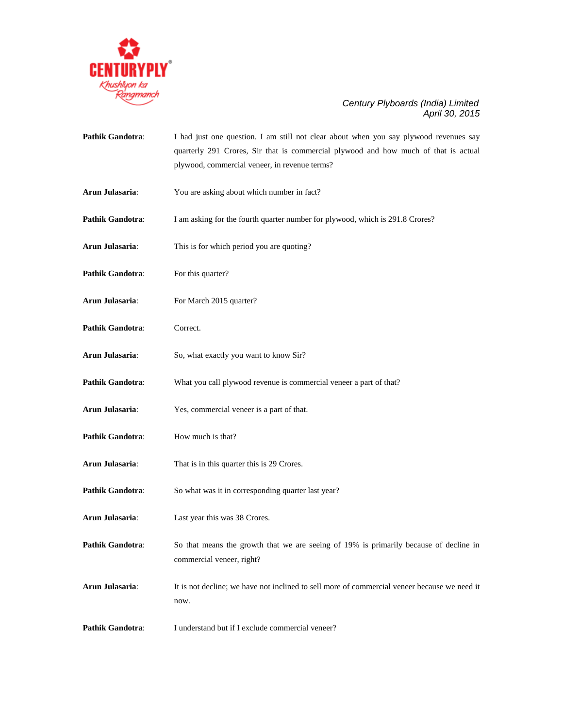

Pathik Gandotra: I had just one question. I am still not clear about when you say plywood revenues say quarterly 291 Crores, Sir that is commercial plywood and how much of that is actual plywood, commercial veneer, in revenue terms? **Arun Julasaria**: You are asking about which number in fact? **Pathik Gandotra:** I am asking for the fourth quarter number for plywood, which is 291.8 Crores? **Arun Julasaria**: This is for which period you are quoting? Pathik Gandotra: For this quarter? **Arun Julasaria**: For March 2015 quarter? Pathik Gandotra: Correct. **Arun Julasaria**: So, what exactly you want to know Sir? **Pathik Gandotra:** What you call plywood revenue is commercial veneer a part of that? **Arun Julasaria**: Yes, commercial veneer is a part of that. **Pathik Gandotra:** How much is that? **Arun Julasaria**: That is in this quarter this is 29 Crores. Pathik Gandotra: So what was it in corresponding quarter last year? **Arun Julasaria**: Last year this was 38 Crores. **Pathik Gandotra:** So that means the growth that we are seeing of 19% is primarily because of decline in commercial veneer, right? **Arun Julasaria**: It is not decline; we have not inclined to sell more of commercial veneer because we need it now. **Pathik Gandotra:** I understand but if I exclude commercial veneer?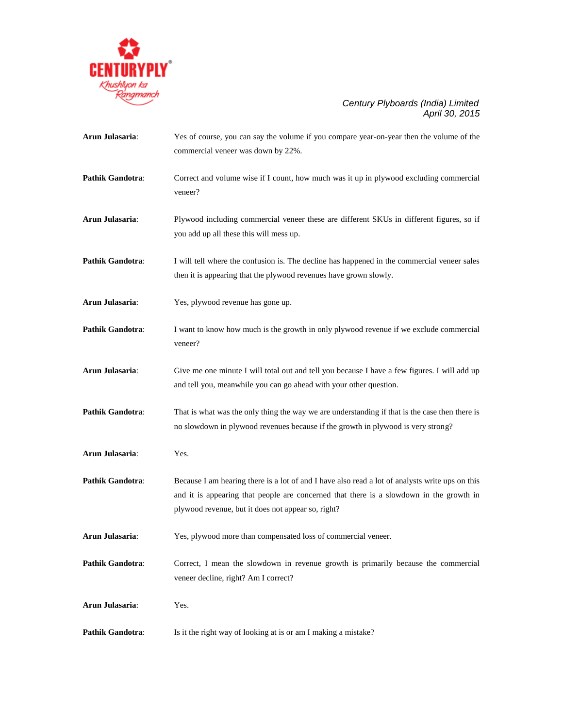

| Arun Julasaria:         | Yes of course, you can say the volume if you compare year-on-year then the volume of the<br>commercial veneer was down by 22%.                                                                                                                   |
|-------------------------|--------------------------------------------------------------------------------------------------------------------------------------------------------------------------------------------------------------------------------------------------|
| <b>Pathik Gandotra:</b> | Correct and volume wise if I count, how much was it up in plywood excluding commercial<br>veneer?                                                                                                                                                |
| Arun Julasaria:         | Plywood including commercial veneer these are different SKUs in different figures, so if<br>you add up all these this will mess up.                                                                                                              |
| <b>Pathik Gandotra:</b> | I will tell where the confusion is. The decline has happened in the commercial veneer sales<br>then it is appearing that the plywood revenues have grown slowly.                                                                                 |
| Arun Julasaria:         | Yes, plywood revenue has gone up.                                                                                                                                                                                                                |
| <b>Pathik Gandotra:</b> | I want to know how much is the growth in only plywood revenue if we exclude commercial<br>veneer?                                                                                                                                                |
| Arun Julasaria:         | Give me one minute I will total out and tell you because I have a few figures. I will add up<br>and tell you, meanwhile you can go ahead with your other question.                                                                               |
| <b>Pathik Gandotra:</b> | That is what was the only thing the way we are understanding if that is the case then there is<br>no slowdown in plywood revenues because if the growth in plywood is very strong?                                                               |
| Arun Julasaria:         | Yes.                                                                                                                                                                                                                                             |
| Pathik Gandotra:        | Because I am hearing there is a lot of and I have also read a lot of analysts write ups on this<br>and it is appearing that people are concerned that there is a slowdown in the growth in<br>plywood revenue, but it does not appear so, right? |
| Arun Julasaria:         | Yes, plywood more than compensated loss of commercial veneer.                                                                                                                                                                                    |
| <b>Pathik Gandotra:</b> | Correct, I mean the slowdown in revenue growth is primarily because the commercial<br>veneer decline, right? Am I correct?                                                                                                                       |
| Arun Julasaria:         | Yes.                                                                                                                                                                                                                                             |
| Pathik Gandotra:        | Is it the right way of looking at is or am I making a mistake?                                                                                                                                                                                   |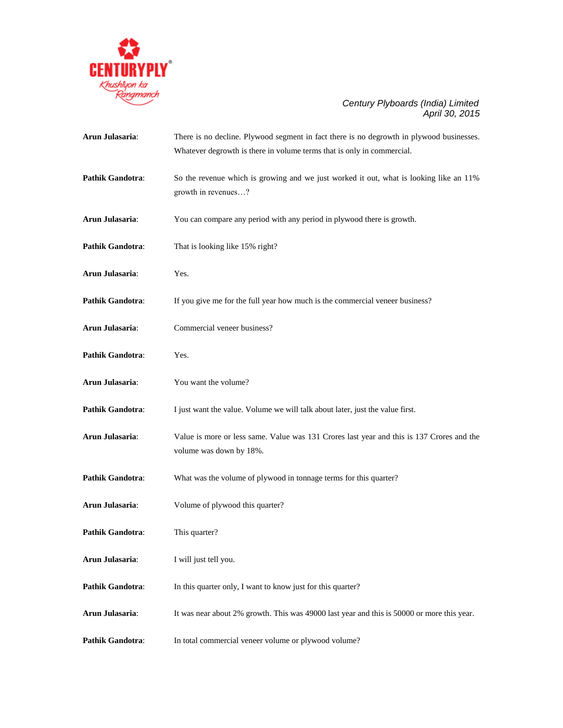

| Arun Julasaria:         | There is no decline. Plywood segment in fact there is no degrowth in plywood businesses.<br>Whatever degrowth is there in volume terms that is only in commercial. |
|-------------------------|--------------------------------------------------------------------------------------------------------------------------------------------------------------------|
| Pathik Gandotra:        | So the revenue which is growing and we just worked it out, what is looking like an 11%<br>growth in revenues?                                                      |
| Arun Julasaria:         | You can compare any period with any period in plywood there is growth.                                                                                             |
| <b>Pathik Gandotra:</b> | That is looking like 15% right?                                                                                                                                    |
| Arun Julasaria:         | Yes.                                                                                                                                                               |
| Pathik Gandotra:        | If you give me for the full year how much is the commercial veneer business?                                                                                       |
| Arun Julasaria:         | Commercial veneer business?                                                                                                                                        |
| <b>Pathik Gandotra:</b> | Yes.                                                                                                                                                               |
| Arun Julasaria:         | You want the volume?                                                                                                                                               |
| Pathik Gandotra:        | I just want the value. Volume we will talk about later, just the value first.                                                                                      |
| Arun Julasaria:         | Value is more or less same. Value was 131 Crores last year and this is 137 Crores and the<br>volume was down by 18%.                                               |
| <b>Pathik Gandotra:</b> | What was the volume of plywood in tonnage terms for this quarter?                                                                                                  |
| Arun Julasaria:         | Volume of plywood this quarter?                                                                                                                                    |
| <b>Pathik Gandotra:</b> | This quarter?                                                                                                                                                      |
| Arun Julasaria:         | I will just tell you.                                                                                                                                              |
| <b>Pathik Gandotra:</b> | In this quarter only, I want to know just for this quarter?                                                                                                        |
| Arun Julasaria:         | It was near about 2% growth. This was 49000 last year and this is 50000 or more this year.                                                                         |
| <b>Pathik Gandotra:</b> | In total commercial veneer volume or plywood volume?                                                                                                               |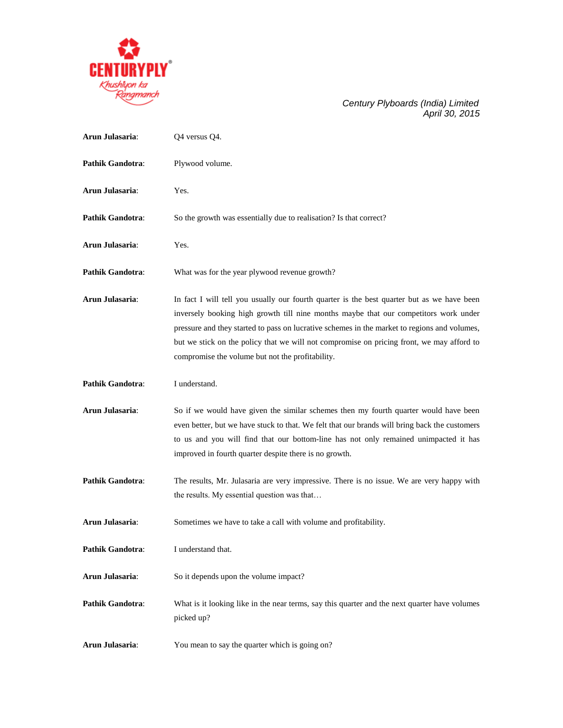

| Arun Julasaria:         | Q4 versus Q4.                                                                                                                                                                                                                                                                                                                                                                                                                       |
|-------------------------|-------------------------------------------------------------------------------------------------------------------------------------------------------------------------------------------------------------------------------------------------------------------------------------------------------------------------------------------------------------------------------------------------------------------------------------|
| <b>Pathik Gandotra:</b> | Plywood volume.                                                                                                                                                                                                                                                                                                                                                                                                                     |
| Arun Julasaria:         | Yes.                                                                                                                                                                                                                                                                                                                                                                                                                                |
| <b>Pathik Gandotra:</b> | So the growth was essentially due to realisation? Is that correct?                                                                                                                                                                                                                                                                                                                                                                  |
| Arun Julasaria:         | Yes.                                                                                                                                                                                                                                                                                                                                                                                                                                |
| <b>Pathik Gandotra:</b> | What was for the year plywood revenue growth?                                                                                                                                                                                                                                                                                                                                                                                       |
| Arun Julasaria:         | In fact I will tell you usually our fourth quarter is the best quarter but as we have been<br>inversely booking high growth till nine months maybe that our competitors work under<br>pressure and they started to pass on lucrative schemes in the market to regions and volumes,<br>but we stick on the policy that we will not compromise on pricing front, we may afford to<br>compromise the volume but not the profitability. |
| <b>Pathik Gandotra:</b> | I understand.                                                                                                                                                                                                                                                                                                                                                                                                                       |
| Arun Julasaria:         | So if we would have given the similar schemes then my fourth quarter would have been<br>even better, but we have stuck to that. We felt that our brands will bring back the customers<br>to us and you will find that our bottom-line has not only remained unimpacted it has<br>improved in fourth quarter despite there is no growth.                                                                                             |
| <b>Pathik Gandotra:</b> | The results, Mr. Julasaria are very impressive. There is no issue. We are very happy with<br>the results. My essential question was that                                                                                                                                                                                                                                                                                            |
| Arun Julasaria:         | Sometimes we have to take a call with volume and profitability.                                                                                                                                                                                                                                                                                                                                                                     |
| Pathik Gandotra:        | I understand that.                                                                                                                                                                                                                                                                                                                                                                                                                  |
| Arun Julasaria:         | So it depends upon the volume impact?                                                                                                                                                                                                                                                                                                                                                                                               |
| <b>Pathik Gandotra:</b> | What is it looking like in the near terms, say this quarter and the next quarter have volumes<br>picked up?                                                                                                                                                                                                                                                                                                                         |
| Arun Julasaria:         | You mean to say the quarter which is going on?                                                                                                                                                                                                                                                                                                                                                                                      |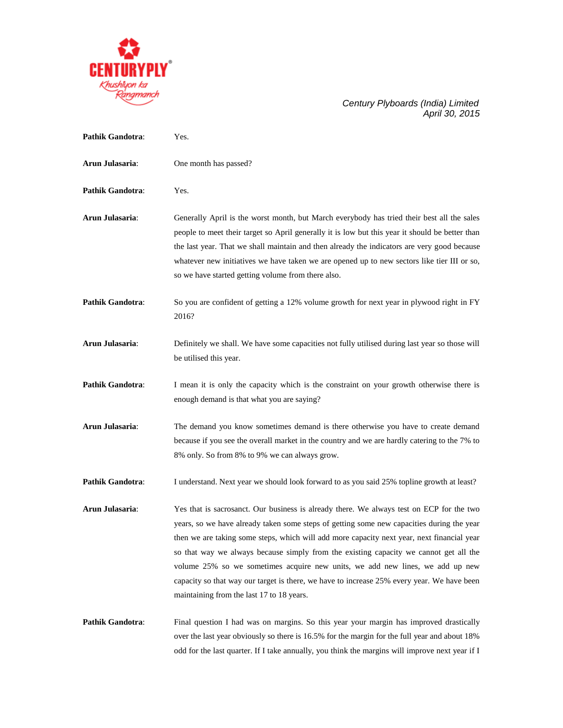

| <b>Pathik Gandotra:</b> | Yes.                                                                                                                                                                                                                                                                                                                                                                                                                                                                                                                                                                                                     |
|-------------------------|----------------------------------------------------------------------------------------------------------------------------------------------------------------------------------------------------------------------------------------------------------------------------------------------------------------------------------------------------------------------------------------------------------------------------------------------------------------------------------------------------------------------------------------------------------------------------------------------------------|
| Arun Julasaria:         | One month has passed?                                                                                                                                                                                                                                                                                                                                                                                                                                                                                                                                                                                    |
| <b>Pathik Gandotra:</b> | Yes.                                                                                                                                                                                                                                                                                                                                                                                                                                                                                                                                                                                                     |
| Arun Julasaria:         | Generally April is the worst month, but March everybody has tried their best all the sales<br>people to meet their target so April generally it is low but this year it should be better than<br>the last year. That we shall maintain and then already the indicators are very good because<br>whatever new initiatives we have taken we are opened up to new sectors like tier III or so,<br>so we have started getting volume from there also.                                                                                                                                                        |
| <b>Pathik Gandotra:</b> | So you are confident of getting a 12% volume growth for next year in plywood right in FY<br>2016?                                                                                                                                                                                                                                                                                                                                                                                                                                                                                                        |
| Arun Julasaria:         | Definitely we shall. We have some capacities not fully utilised during last year so those will<br>be utilised this year.                                                                                                                                                                                                                                                                                                                                                                                                                                                                                 |
| <b>Pathik Gandotra:</b> | I mean it is only the capacity which is the constraint on your growth otherwise there is<br>enough demand is that what you are saying?                                                                                                                                                                                                                                                                                                                                                                                                                                                                   |
| Arun Julasaria:         | The demand you know sometimes demand is there otherwise you have to create demand<br>because if you see the overall market in the country and we are hardly catering to the 7% to<br>8% only. So from 8% to 9% we can always grow.                                                                                                                                                                                                                                                                                                                                                                       |
| <b>Pathik Gandotra:</b> | I understand. Next year we should look forward to as you said 25% topline growth at least?                                                                                                                                                                                                                                                                                                                                                                                                                                                                                                               |
| Arun Julasaria:         | Yes that is sacrosanct. Our business is already there. We always test on ECP for the two<br>years, so we have already taken some steps of getting some new capacities during the year<br>then we are taking some steps, which will add more capacity next year, next financial year<br>so that way we always because simply from the existing capacity we cannot get all the<br>volume 25% so we sometimes acquire new units, we add new lines, we add up new<br>capacity so that way our target is there, we have to increase 25% every year. We have been<br>maintaining from the last 17 to 18 years. |
| Pathik Gandotra:        | Final question I had was on margins. So this year your margin has improved drastically<br>over the last year obviously so there is 16.5% for the margin for the full year and about 18%<br>odd for the last quarter. If I take annually, you think the margins will improve next year if I                                                                                                                                                                                                                                                                                                               |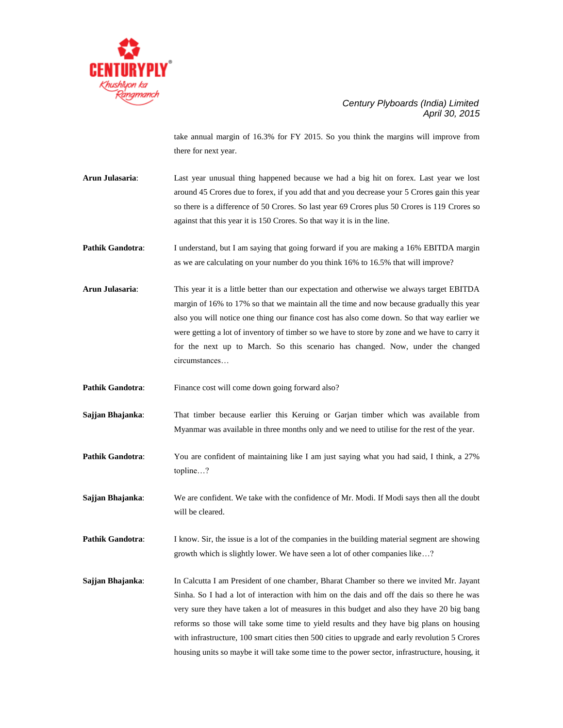

take annual margin of 16.3% for FY 2015. So you think the margins will improve from there for next year.

**Arun Julasaria**: Last year unusual thing happened because we had a big hit on forex. Last year we lost around 45 Crores due to forex, if you add that and you decrease your 5 Crores gain this year so there is a difference of 50 Crores. So last year 69 Crores plus 50 Crores is 119 Crores so against that this year it is 150 Crores. So that way it is in the line.

**Pathik Gandotra:** I understand, but I am saying that going forward if you are making a 16% EBITDA margin as we are calculating on your number do you think 16% to 16.5% that will improve?

**Arun Julasaria**: This year it is a little better than our expectation and otherwise we always target EBITDA margin of 16% to 17% so that we maintain all the time and now because gradually this year also you will notice one thing our finance cost has also come down. So that way earlier we were getting a lot of inventory of timber so we have to store by zone and we have to carry it for the next up to March. So this scenario has changed. Now, under the changed circumstances…

**Pathik Gandotra:** Finance cost will come down going forward also?

**Sajjan Bhajanka**: That timber because earlier this Keruing or Garjan timber which was available from Myanmar was available in three months only and we need to utilise for the rest of the year.

**Pathik Gandotra:** You are confident of maintaining like I am just saying what you had said, I think, a 27% topline…?

**Sajjan Bhajanka:** We are confident. We take with the confidence of Mr. Modi. If Modi says then all the doubt will be cleared.

**Pathik Gandotra:** I know. Sir, the issue is a lot of the companies in the building material segment are showing growth which is slightly lower. We have seen a lot of other companies like…?

**Sajjan Bhajanka**: In Calcutta I am President of one chamber, Bharat Chamber so there we invited Mr. Jayant Sinha. So I had a lot of interaction with him on the dais and off the dais so there he was very sure they have taken a lot of measures in this budget and also they have 20 big bang reforms so those will take some time to yield results and they have big plans on housing with infrastructure, 100 smart cities then 500 cities to upgrade and early revolution 5 Crores housing units so maybe it will take some time to the power sector, infrastructure, housing, it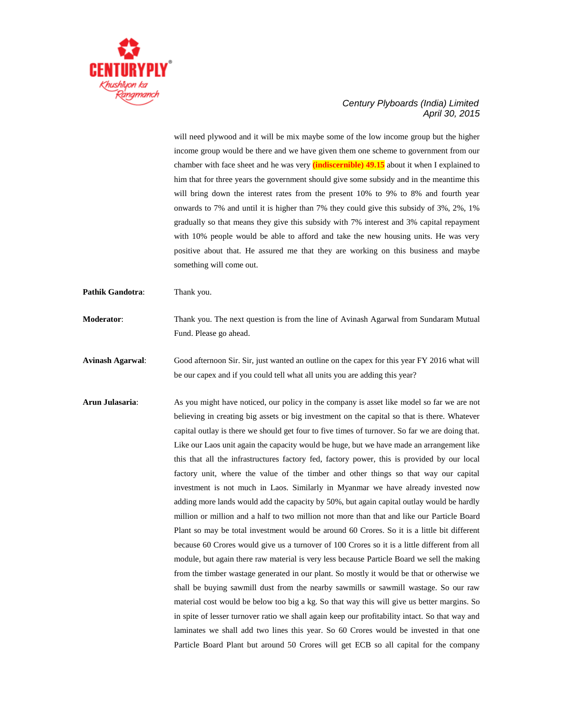

will need plywood and it will be mix maybe some of the low income group but the higher income group would be there and we have given them one scheme to government from our chamber with face sheet and he was very **(indiscernible) 49.15** about it when I explained to him that for three years the government should give some subsidy and in the meantime this will bring down the interest rates from the present 10% to 9% to 8% and fourth year onwards to 7% and until it is higher than 7% they could give this subsidy of 3%, 2%, 1% gradually so that means they give this subsidy with 7% interest and 3% capital repayment with 10% people would be able to afford and take the new housing units. He was very positive about that. He assured me that they are working on this business and maybe something will come out.

Pathik Gandotra: Thank you.

**Moderator**: Thank you. The next question is from the line of Avinash Agarwal from Sundaram Mutual Fund. Please go ahead.

**Avinash Agarwal**: Good afternoon Sir. Sir, just wanted an outline on the capex for this year FY 2016 what will be our capex and if you could tell what all units you are adding this year?

**Arun Julasaria:** As you might have noticed, our policy in the company is asset like model so far we are not believing in creating big assets or big investment on the capital so that is there. Whatever capital outlay is there we should get four to five times of turnover. So far we are doing that. Like our Laos unit again the capacity would be huge, but we have made an arrangement like this that all the infrastructures factory fed, factory power, this is provided by our local factory unit, where the value of the timber and other things so that way our capital investment is not much in Laos. Similarly in Myanmar we have already invested now adding more lands would add the capacity by 50%, but again capital outlay would be hardly million or million and a half to two million not more than that and like our Particle Board Plant so may be total investment would be around 60 Crores. So it is a little bit different because 60 Crores would give us a turnover of 100 Crores so it is a little different from all module, but again there raw material is very less because Particle Board we sell the making from the timber wastage generated in our plant. So mostly it would be that or otherwise we shall be buying sawmill dust from the nearby sawmills or sawmill wastage. So our raw material cost would be below too big a kg. So that way this will give us better margins. So in spite of lesser turnover ratio we shall again keep our profitability intact. So that way and laminates we shall add two lines this year. So 60 Crores would be invested in that one Particle Board Plant but around 50 Crores will get ECB so all capital for the company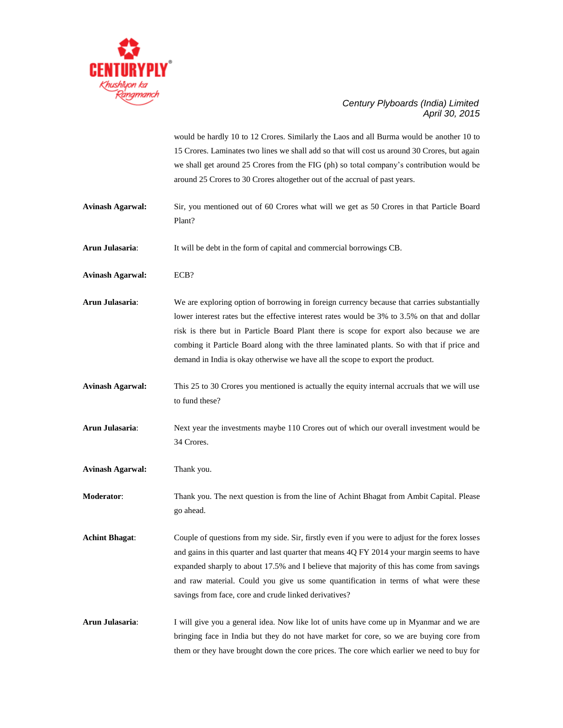

would be hardly 10 to 12 Crores. Similarly the Laos and all Burma would be another 10 to 15 Crores. Laminates two lines we shall add so that will cost us around 30 Crores, but again we shall get around 25 Crores from the FIG (ph) so total company's contribution would be around 25 Crores to 30 Crores altogether out of the accrual of past years.

- **Avinash Agarwal:** Sir, you mentioned out of 60 Crores what will we get as 50 Crores in that Particle Board Plant?
- **Arun Julasaria**: It will be debt in the form of capital and commercial borrowings CB.
- **Avinash Agarwal:** ECB?
- **Arun Julasaria**: We are exploring option of borrowing in foreign currency because that carries substantially lower interest rates but the effective interest rates would be 3% to 3.5% on that and dollar risk is there but in Particle Board Plant there is scope for export also because we are combing it Particle Board along with the three laminated plants. So with that if price and demand in India is okay otherwise we have all the scope to export the product.
- **Avinash Agarwal:** This 25 to 30 Crores you mentioned is actually the equity internal accruals that we will use to fund these?
- **Arun Julasaria**: Next year the investments maybe 110 Crores out of which our overall investment would be 34 Crores.
- **Avinash Agarwal:** Thank you.
- **Moderator**: Thank you. The next question is from the line of Achint Bhagat from Ambit Capital. Please go ahead.
- **Achint Bhagat**: Couple of questions from my side. Sir, firstly even if you were to adjust for the forex losses and gains in this quarter and last quarter that means 4Q FY 2014 your margin seems to have expanded sharply to about 17.5% and I believe that majority of this has come from savings and raw material. Could you give us some quantification in terms of what were these savings from face, core and crude linked derivatives?
- **Arun Julasaria**: I will give you a general idea. Now like lot of units have come up in Myanmar and we are bringing face in India but they do not have market for core, so we are buying core from them or they have brought down the core prices. The core which earlier we need to buy for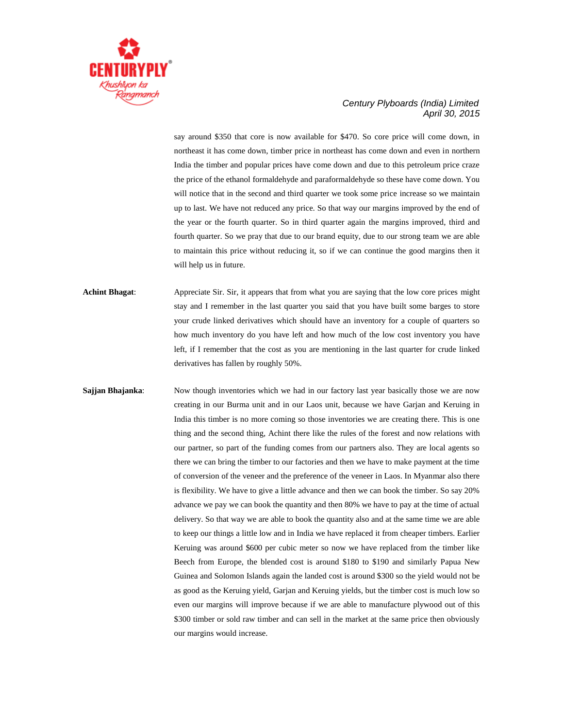

say around \$350 that core is now available for \$470. So core price will come down, in northeast it has come down, timber price in northeast has come down and even in northern India the timber and popular prices have come down and due to this petroleum price craze the price of the ethanol formaldehyde and paraformaldehyde so these have come down. You will notice that in the second and third quarter we took some price increase so we maintain up to last. We have not reduced any price. So that way our margins improved by the end of the year or the fourth quarter. So in third quarter again the margins improved, third and fourth quarter. So we pray that due to our brand equity, due to our strong team we are able to maintain this price without reducing it, so if we can continue the good margins then it will help us in future.

**Achint Bhagat**: Appreciate Sir. Sir, it appears that from what you are saying that the low core prices might stay and I remember in the last quarter you said that you have built some barges to store your crude linked derivatives which should have an inventory for a couple of quarters so how much inventory do you have left and how much of the low cost inventory you have left, if I remember that the cost as you are mentioning in the last quarter for crude linked derivatives has fallen by roughly 50%.

**Sajjan Bhajanka:** Now though inventories which we had in our factory last year basically those we are now creating in our Burma unit and in our Laos unit, because we have Garjan and Keruing in India this timber is no more coming so those inventories we are creating there. This is one thing and the second thing, Achint there like the rules of the forest and now relations with our partner, so part of the funding comes from our partners also. They are local agents so there we can bring the timber to our factories and then we have to make payment at the time of conversion of the veneer and the preference of the veneer in Laos. In Myanmar also there is flexibility. We have to give a little advance and then we can book the timber. So say 20% advance we pay we can book the quantity and then 80% we have to pay at the time of actual delivery. So that way we are able to book the quantity also and at the same time we are able to keep our things a little low and in India we have replaced it from cheaper timbers. Earlier Keruing was around \$600 per cubic meter so now we have replaced from the timber like Beech from Europe, the blended cost is around \$180 to \$190 and similarly Papua New Guinea and Solomon Islands again the landed cost is around \$300 so the yield would not be as good as the Keruing yield, Garjan and Keruing yields, but the timber cost is much low so even our margins will improve because if we are able to manufacture plywood out of this \$300 timber or sold raw timber and can sell in the market at the same price then obviously our margins would increase.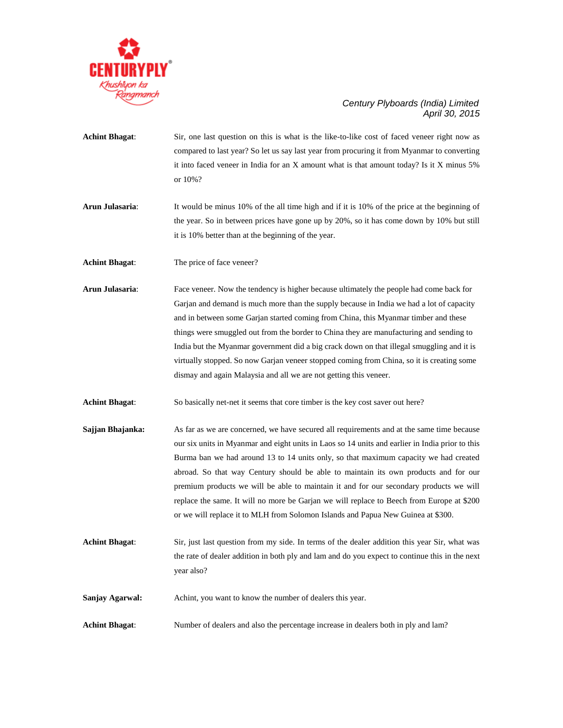

- **Achint Bhagat**: Sir, one last question on this is what is the like-to-like cost of faced veneer right now as compared to last year? So let us say last year from procuring it from Myanmar to converting it into faced veneer in India for an X amount what is that amount today? Is it X minus 5% or 10%?
- **Arun Julasaria**: It would be minus 10% of the all time high and if it is 10% of the price at the beginning of the year. So in between prices have gone up by 20%, so it has come down by 10% but still it is 10% better than at the beginning of the year.
- **Achint Bhagat:** The price of face veneer?
- **Arun Julasaria**: Face veneer. Now the tendency is higher because ultimately the people had come back for Garjan and demand is much more than the supply because in India we had a lot of capacity and in between some Garjan started coming from China, this Myanmar timber and these things were smuggled out from the border to China they are manufacturing and sending to India but the Myanmar government did a big crack down on that illegal smuggling and it is virtually stopped. So now Garjan veneer stopped coming from China, so it is creating some dismay and again Malaysia and all we are not getting this veneer.
- **Achint Bhagat**: So basically net-net it seems that core timber is the key cost saver out here?
- **Sajjan Bhajanka:** As far as we are concerned, we have secured all requirements and at the same time because our six units in Myanmar and eight units in Laos so 14 units and earlier in India prior to this Burma ban we had around 13 to 14 units only, so that maximum capacity we had created abroad. So that way Century should be able to maintain its own products and for our premium products we will be able to maintain it and for our secondary products we will replace the same. It will no more be Garjan we will replace to Beech from Europe at \$200 or we will replace it to MLH from Solomon Islands and Papua New Guinea at \$300.
- **Achint Bhagat**: Sir, just last question from my side. In terms of the dealer addition this year Sir, what was the rate of dealer addition in both ply and lam and do you expect to continue this in the next year also?
- **Sanjay Agarwal:** Achint, you want to know the number of dealers this year.
- **Achint Bhagat**: Number of dealers and also the percentage increase in dealers both in ply and lam?